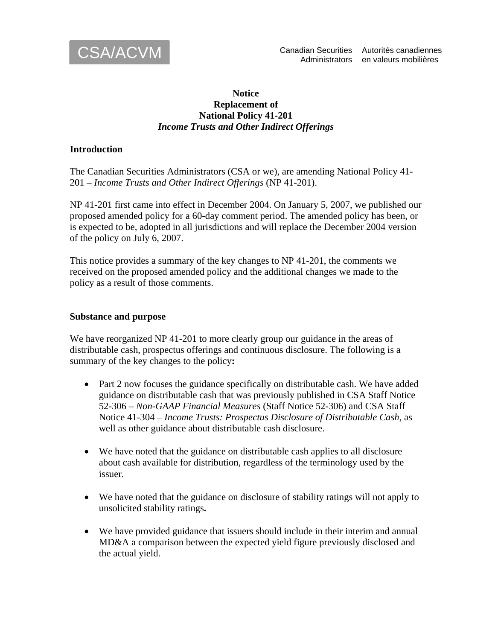

### **Notice Replacement of National Policy 41-201**  *Income Trusts and Other Indirect Offerings*

### **Introduction**

The Canadian Securities Administrators (CSA or we), are amending National Policy 41- 201 – *Income Trusts and Other Indirect Offerings* (NP 41-201).

NP 41-201 first came into effect in December 2004. On January 5, 2007, we published our proposed amended policy for a 60-day comment period. The amended policy has been, or is expected to be, adopted in all jurisdictions and will replace the December 2004 version of the policy on July 6, 2007.

This notice provides a summary of the key changes to NP 41-201, the comments we received on the proposed amended policy and the additional changes we made to the policy as a result of those comments.

#### **Substance and purpose**

We have reorganized NP 41-201 to more clearly group our guidance in the areas of distributable cash, prospectus offerings and continuous disclosure. The following is a summary of the key changes to the policy**:** 

- Part 2 now focuses the guidance specifically on distributable cash. We have added guidance on distributable cash that was previously published in CSA Staff Notice 52-306 – *Non-GAAP Financial Measures* (Staff Notice 52-306) and CSA Staff Notice 41-304 – *Income Trusts: Prospectus Disclosure of Distributable Cash*, as well as other guidance about distributable cash disclosure.
- We have noted that the guidance on distributable cash applies to all disclosure about cash available for distribution, regardless of the terminology used by the issuer.
- We have noted that the guidance on disclosure of stability ratings will not apply to unsolicited stability ratings**.**
- We have provided guidance that issuers should include in their interim and annual MD&A a comparison between the expected yield figure previously disclosed and the actual yield.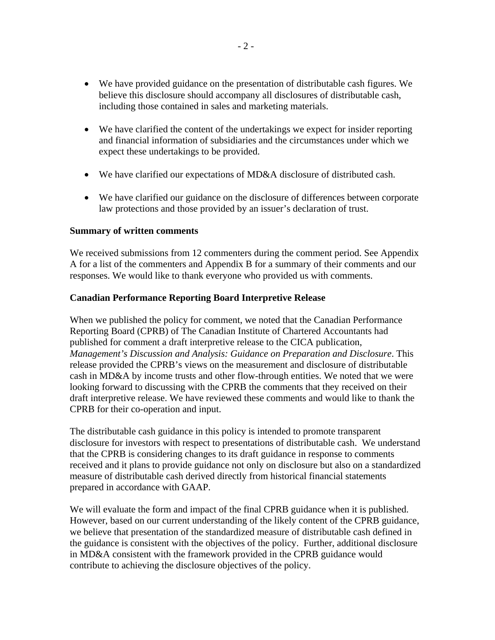- We have provided guidance on the presentation of distributable cash figures. We believe this disclosure should accompany all disclosures of distributable cash, including those contained in sales and marketing materials.
- We have clarified the content of the undertakings we expect for insider reporting and financial information of subsidiaries and the circumstances under which we expect these undertakings to be provided.
- We have clarified our expectations of MD&A disclosure of distributed cash.
- We have clarified our guidance on the disclosure of differences between corporate law protections and those provided by an issuer's declaration of trust.

### **Summary of written comments**

We received submissions from 12 commenters during the comment period. See Appendix A for a list of the commenters and Appendix B for a summary of their comments and our responses. We would like to thank everyone who provided us with comments.

### **Canadian Performance Reporting Board Interpretive Release**

When we published the policy for comment, we noted that the Canadian Performance Reporting Board (CPRB) of The Canadian Institute of Chartered Accountants had published for comment a draft interpretive release to the CICA publication, *Management's Discussion and Analysis: Guidance on Preparation and Disclosure*. This release provided the CPRB's views on the measurement and disclosure of distributable cash in MD&A by income trusts and other flow-through entities. We noted that we were looking forward to discussing with the CPRB the comments that they received on their draft interpretive release. We have reviewed these comments and would like to thank the CPRB for their co-operation and input.

The distributable cash guidance in this policy is intended to promote transparent disclosure for investors with respect to presentations of distributable cash. We understand that the CPRB is considering changes to its draft guidance in response to comments received and it plans to provide guidance not only on disclosure but also on a standardized measure of distributable cash derived directly from historical financial statements prepared in accordance with GAAP.

We will evaluate the form and impact of the final CPRB guidance when it is published. However, based on our current understanding of the likely content of the CPRB guidance, we believe that presentation of the standardized measure of distributable cash defined in the guidance is consistent with the objectives of the policy. Further, additional disclosure in MD&A consistent with the framework provided in the CPRB guidance would contribute to achieving the disclosure objectives of the policy.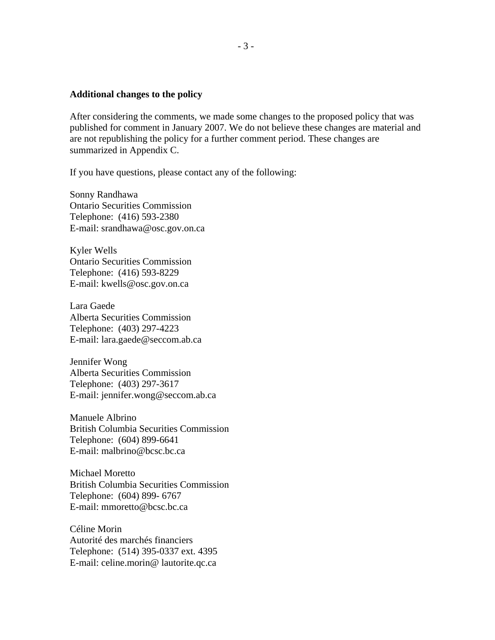#### **Additional changes to the policy**

After considering the comments, we made some changes to the proposed policy that was published for comment in January 2007. We do not believe these changes are material and are not republishing the policy for a further comment period. These changes are summarized in Appendix C.

If you have questions, please contact any of the following:

Sonny Randhawa Ontario Securities Commission Telephone: (416) 593-2380 E-mail: srandhawa@osc.gov.on.ca

Kyler Wells Ontario Securities Commission Telephone: (416) 593-8229 E-mail: kwells@osc.gov.on.ca

Lara Gaede Alberta Securities Commission Telephone: (403) 297-4223 E-mail: lara.gaede@seccom.ab.ca

Jennifer Wong Alberta Securities Commission Telephone: (403) 297-3617 E-mail: jennifer.wong@seccom.ab.ca

Manuele Albrino British Columbia Securities Commission Telephone: (604) 899-6641 E-mail: malbrino@bcsc.bc.ca

Michael Moretto British Columbia Securities Commission Telephone: (604) 899- 6767 E-mail: mmoretto@bcsc.bc.ca

Céline Morin Autorité des marchés financiers Telephone: (514) 395-0337 ext. 4395 E-mail: celine.morin@ lautorite.qc.ca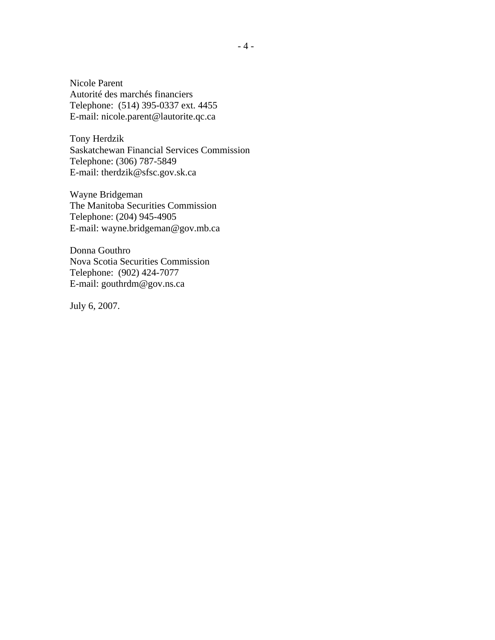Nicole Parent Autorité des marchés financiers Telephone: (514) 395-0337 ext. 4455 E-mail: nicole.parent@lautorite.qc.ca

Tony Herdzik Saskatchewan Financial Services Commission Telephone: (306) 787-5849 E-mail: therdzik@sfsc.gov.sk.ca

Wayne Bridgeman The Manitoba Securities Commission Telephone: (204) 945-4905 E-mail: wayne.bridgeman@gov.mb.ca

Donna Gouthro Nova Scotia Securities Commission Telephone: (902) 424-7077 E-mail: gouthrdm@gov.ns.ca

July 6, 2007.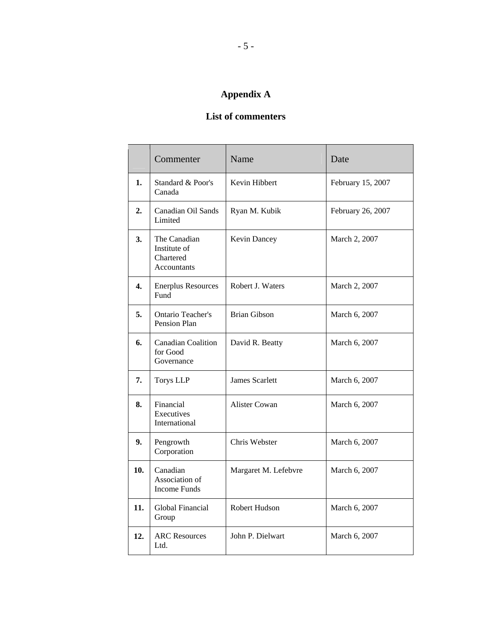# **Appendix A**

### **List of commenters**

|     | Commenter                                                | Name                  | Date              |
|-----|----------------------------------------------------------|-----------------------|-------------------|
| 1.  | Standard & Poor's<br>Canada                              | Kevin Hibbert         | February 15, 2007 |
| 2.  | Canadian Oil Sands<br>Limited                            | Ryan M. Kubik         | February 26, 2007 |
| 3.  | The Canadian<br>Institute of<br>Chartered<br>Accountants | Kevin Dancey          | March 2, 2007     |
| 4.  | <b>Enerplus Resources</b><br>Fund                        | Robert J. Waters      | March 2, 2007     |
| 5.  | <b>Ontario Teacher's</b><br>Pension Plan                 | <b>Brian Gibson</b>   | March 6, 2007     |
| 6.  | <b>Canadian Coalition</b><br>for Good<br>Governance      | David R. Beatty       | March 6, 2007     |
| 7.  | <b>Torys LLP</b>                                         | <b>James Scarlett</b> | March 6, 2007     |
| 8.  | Financial<br>Executives<br>International                 | Alister Cowan         | March 6, 2007     |
| 9.  | Pengrowth<br>Corporation                                 | Chris Webster         | March 6, 2007     |
| 10. | Canadian<br>Association of<br><b>Income Funds</b>        | Margaret M. Lefebvre  | March 6, 2007     |
| 11. | Global Financial<br>Group                                | Robert Hudson         | March 6, 2007     |
| 12. | <b>ARC Resources</b><br>Ltd.                             | John P. Dielwart      | March 6, 2007     |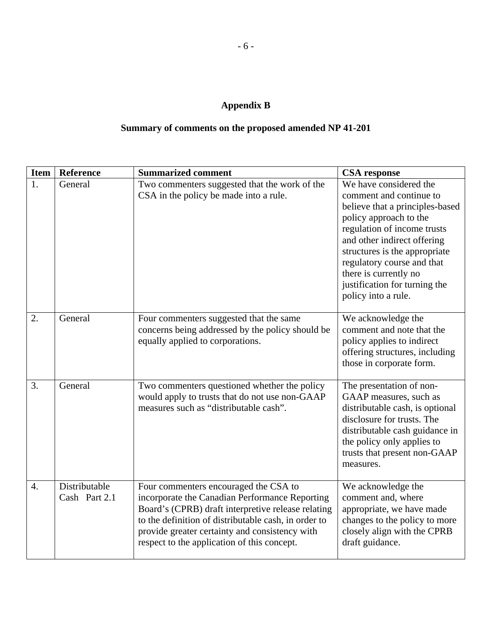# **Appendix B**

# **Summary of comments on the proposed amended NP 41-201**

| <b>Item</b>      | <b>Reference</b>               | <b>Summarized comment</b>                                                                                                                                                                                                                                                                              | <b>CSA</b> response                                                                                                                                                                                                                                                                                                          |
|------------------|--------------------------------|--------------------------------------------------------------------------------------------------------------------------------------------------------------------------------------------------------------------------------------------------------------------------------------------------------|------------------------------------------------------------------------------------------------------------------------------------------------------------------------------------------------------------------------------------------------------------------------------------------------------------------------------|
| 1.               | General                        | Two commenters suggested that the work of the<br>CSA in the policy be made into a rule.                                                                                                                                                                                                                | We have considered the<br>comment and continue to<br>believe that a principles-based<br>policy approach to the<br>regulation of income trusts<br>and other indirect offering<br>structures is the appropriate<br>regulatory course and that<br>there is currently no<br>justification for turning the<br>policy into a rule. |
| 2.               | General                        | Four commenters suggested that the same<br>concerns being addressed by the policy should be<br>equally applied to corporations.                                                                                                                                                                        | We acknowledge the<br>comment and note that the<br>policy applies to indirect<br>offering structures, including<br>those in corporate form.                                                                                                                                                                                  |
| 3.               | General                        | Two commenters questioned whether the policy<br>would apply to trusts that do not use non-GAAP<br>measures such as "distributable cash".                                                                                                                                                               | The presentation of non-<br>GAAP measures, such as<br>distributable cash, is optional<br>disclosure for trusts. The<br>distributable cash guidance in<br>the policy only applies to<br>trusts that present non-GAAP<br>measures.                                                                                             |
| $\overline{4}$ . | Distributable<br>Cash Part 2.1 | Four commenters encouraged the CSA to<br>incorporate the Canadian Performance Reporting<br>Board's (CPRB) draft interpretive release relating<br>to the definition of distributable cash, in order to<br>provide greater certainty and consistency with<br>respect to the application of this concept. | We acknowledge the<br>comment and, where<br>appropriate, we have made<br>changes to the policy to more<br>closely align with the CPRB<br>draft guidance.                                                                                                                                                                     |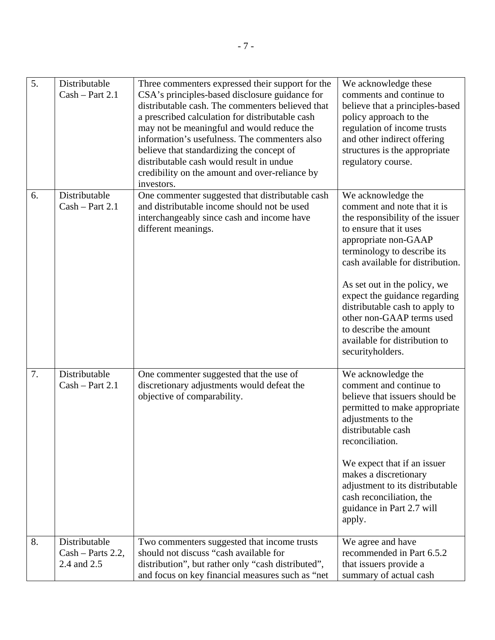| 5. | Distributable<br>$Cash - Part 2.1$                | Three commenters expressed their support for the<br>CSA's principles-based disclosure guidance for<br>distributable cash. The commenters believed that<br>a prescribed calculation for distributable cash<br>may not be meaningful and would reduce the<br>information's usefulness. The commenters also<br>believe that standardizing the concept of<br>distributable cash would result in undue<br>credibility on the amount and over-reliance by<br>investors. | We acknowledge these<br>comments and continue to<br>believe that a principles-based<br>policy approach to the<br>regulation of income trusts<br>and other indirect offering<br>structures is the appropriate<br>regulatory course.                                                                                                                                                                                        |
|----|---------------------------------------------------|-------------------------------------------------------------------------------------------------------------------------------------------------------------------------------------------------------------------------------------------------------------------------------------------------------------------------------------------------------------------------------------------------------------------------------------------------------------------|---------------------------------------------------------------------------------------------------------------------------------------------------------------------------------------------------------------------------------------------------------------------------------------------------------------------------------------------------------------------------------------------------------------------------|
| 6. | Distributable<br>$Cash - Part 2.1$                | One commenter suggested that distributable cash<br>and distributable income should not be used<br>interchangeably since cash and income have<br>different meanings.                                                                                                                                                                                                                                                                                               | We acknowledge the<br>comment and note that it is<br>the responsibility of the issuer<br>to ensure that it uses<br>appropriate non-GAAP<br>terminology to describe its<br>cash available for distribution.<br>As set out in the policy, we<br>expect the guidance regarding<br>distributable cash to apply to<br>other non-GAAP terms used<br>to describe the amount<br>available for distribution to<br>securityholders. |
| 7. | Distributable<br>$Cash - Part 2.1$                | One commenter suggested that the use of<br>discretionary adjustments would defeat the<br>objective of comparability.                                                                                                                                                                                                                                                                                                                                              | We acknowledge the<br>comment and continue to<br>believe that issuers should be<br>permitted to make appropriate<br>adjustments to the<br>distributable cash<br>reconciliation.<br>We expect that if an issuer<br>makes a discretionary<br>adjustment to its distributable<br>cash reconciliation, the<br>guidance in Part 2.7 will<br>apply.                                                                             |
| 8. | Distributable<br>Cash - Parts 2.2,<br>2.4 and 2.5 | Two commenters suggested that income trusts<br>should not discuss "cash available for<br>distribution", but rather only "cash distributed",<br>and focus on key financial measures such as "net                                                                                                                                                                                                                                                                   | We agree and have<br>recommended in Part 6.5.2<br>that issuers provide a<br>summary of actual cash                                                                                                                                                                                                                                                                                                                        |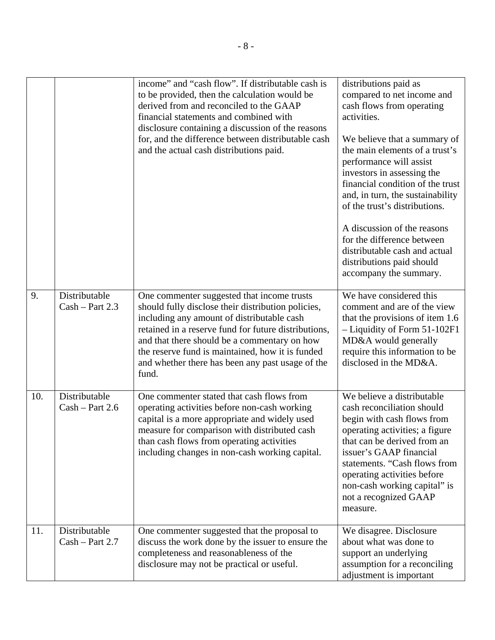|     |                                    | income" and "cash flow". If distributable cash is<br>to be provided, then the calculation would be<br>derived from and reconciled to the GAAP<br>financial statements and combined with<br>disclosure containing a discussion of the reasons<br>for, and the difference between distributable cash<br>and the actual cash distributions paid.                           | distributions paid as<br>compared to net income and<br>cash flows from operating<br>activities.<br>We believe that a summary of<br>the main elements of a trust's<br>performance will assist<br>investors in assessing the<br>financial condition of the trust<br>and, in turn, the sustainability<br>of the trust's distributions.<br>A discussion of the reasons<br>for the difference between<br>distributable cash and actual<br>distributions paid should<br>accompany the summary. |
|-----|------------------------------------|-------------------------------------------------------------------------------------------------------------------------------------------------------------------------------------------------------------------------------------------------------------------------------------------------------------------------------------------------------------------------|------------------------------------------------------------------------------------------------------------------------------------------------------------------------------------------------------------------------------------------------------------------------------------------------------------------------------------------------------------------------------------------------------------------------------------------------------------------------------------------|
| 9.  | Distributable<br>$Cash - Part 2.3$ | One commenter suggested that income trusts<br>should fully disclose their distribution policies,<br>including any amount of distributable cash<br>retained in a reserve fund for future distributions,<br>and that there should be a commentary on how<br>the reserve fund is maintained, how it is funded<br>and whether there has been any past usage of the<br>fund. | We have considered this<br>comment and are of the view<br>that the provisions of item 1.6<br>- Liquidity of Form 51-102F1<br>MD&A would generally<br>require this information to be<br>disclosed in the MD&A.                                                                                                                                                                                                                                                                            |
| 10. | Distributable<br>$Cash - Part 2.6$ | One commenter stated that cash flows from<br>operating activities before non-cash working<br>capital is a more appropriate and widely used<br>measure for comparison with distributed cash<br>than cash flows from operating activities<br>including changes in non-cash working capital.                                                                               | We believe a distributable<br>cash reconciliation should<br>begin with cash flows from<br>operating activities; a figure<br>that can be derived from an<br>issuer's GAAP financial<br>statements. "Cash flows from<br>operating activities before<br>non-cash working capital" is<br>not a recognized GAAP<br>measure.                                                                                                                                                                   |
| 11. | Distributable<br>$Cash - Part 2.7$ | One commenter suggested that the proposal to<br>discuss the work done by the issuer to ensure the<br>completeness and reasonableness of the<br>disclosure may not be practical or useful.                                                                                                                                                                               | We disagree. Disclosure<br>about what was done to<br>support an underlying<br>assumption for a reconciling<br>adjustment is important                                                                                                                                                                                                                                                                                                                                                    |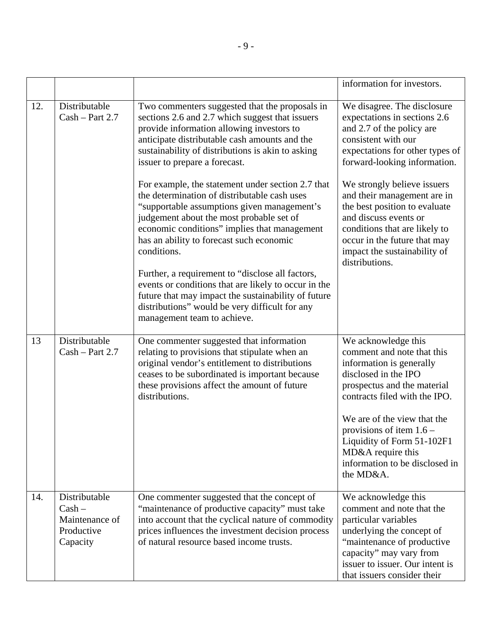|     |                                                                       |                                                                                                                                                                                                                                                                                                                                                                                                                                                                                                                                                                                                                                                                                                                                                                                                                                                      | information for investors.                                                                                                                                                                                                                                                                                                                                                                                                    |
|-----|-----------------------------------------------------------------------|------------------------------------------------------------------------------------------------------------------------------------------------------------------------------------------------------------------------------------------------------------------------------------------------------------------------------------------------------------------------------------------------------------------------------------------------------------------------------------------------------------------------------------------------------------------------------------------------------------------------------------------------------------------------------------------------------------------------------------------------------------------------------------------------------------------------------------------------------|-------------------------------------------------------------------------------------------------------------------------------------------------------------------------------------------------------------------------------------------------------------------------------------------------------------------------------------------------------------------------------------------------------------------------------|
| 12. | Distributable<br>$Cash - Part 2.7$                                    | Two commenters suggested that the proposals in<br>sections 2.6 and 2.7 which suggest that issuers<br>provide information allowing investors to<br>anticipate distributable cash amounts and the<br>sustainability of distributions is akin to asking<br>issuer to prepare a forecast.<br>For example, the statement under section 2.7 that<br>the determination of distributable cash uses<br>"supportable assumptions given management's<br>judgement about the most probable set of<br>economic conditions" implies that management<br>has an ability to forecast such economic<br>conditions.<br>Further, a requirement to "disclose all factors,<br>events or conditions that are likely to occur in the<br>future that may impact the sustainability of future<br>distributions" would be very difficult for any<br>management team to achieve. | We disagree. The disclosure<br>expectations in sections 2.6<br>and 2.7 of the policy are<br>consistent with our<br>expectations for other types of<br>forward-looking information.<br>We strongly believe issuers<br>and their management are in<br>the best position to evaluate<br>and discuss events or<br>conditions that are likely to<br>occur in the future that may<br>impact the sustainability of<br>distributions. |
| 13  | Distributable<br>$Cash - Part 2.7$                                    | One commenter suggested that information<br>relating to provisions that stipulate when an<br>original vendor's entitlement to distributions<br>ceases to be subordinated is important because<br>these provisions affect the amount of future<br>distributions.                                                                                                                                                                                                                                                                                                                                                                                                                                                                                                                                                                                      | We acknowledge this<br>comment and note that this<br>information is generally<br>disclosed in the IPO<br>prospectus and the material<br>contracts filed with the IPO.<br>We are of the view that the<br>provisions of item $1.6$ –<br>Liquidity of Form 51-102F1<br>MD&A require this<br>information to be disclosed in<br>the MD&A.                                                                                          |
| 14. | Distributable<br>$Cash -$<br>Maintenance of<br>Productive<br>Capacity | One commenter suggested that the concept of<br>"maintenance of productive capacity" must take<br>into account that the cyclical nature of commodity<br>prices influences the investment decision process<br>of natural resource based income trusts.                                                                                                                                                                                                                                                                                                                                                                                                                                                                                                                                                                                                 | We acknowledge this<br>comment and note that the<br>particular variables<br>underlying the concept of<br>"maintenance of productive<br>capacity" may vary from<br>issuer to issuer. Our intent is<br>that issuers consider their                                                                                                                                                                                              |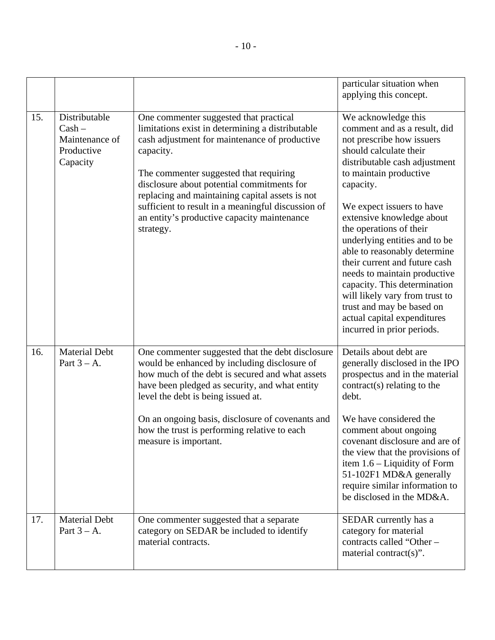|     |                                                                       |                                                                                                                                                                                                                                                                                                                                                                                                                       | particular situation when<br>applying this concept.                                                                                                                                                                                                                                                                                                                                                                                                                                                                                                                   |
|-----|-----------------------------------------------------------------------|-----------------------------------------------------------------------------------------------------------------------------------------------------------------------------------------------------------------------------------------------------------------------------------------------------------------------------------------------------------------------------------------------------------------------|-----------------------------------------------------------------------------------------------------------------------------------------------------------------------------------------------------------------------------------------------------------------------------------------------------------------------------------------------------------------------------------------------------------------------------------------------------------------------------------------------------------------------------------------------------------------------|
| 15. | Distributable<br>$Cash -$<br>Maintenance of<br>Productive<br>Capacity | One commenter suggested that practical<br>limitations exist in determining a distributable<br>cash adjustment for maintenance of productive<br>capacity.<br>The commenter suggested that requiring<br>disclosure about potential commitments for<br>replacing and maintaining capital assets is not<br>sufficient to result in a meaningful discussion of<br>an entity's productive capacity maintenance<br>strategy. | We acknowledge this<br>comment and as a result, did<br>not prescribe how issuers<br>should calculate their<br>distributable cash adjustment<br>to maintain productive<br>capacity.<br>We expect issuers to have<br>extensive knowledge about<br>the operations of their<br>underlying entities and to be<br>able to reasonably determine<br>their current and future cash<br>needs to maintain productive<br>capacity. This determination<br>will likely vary from trust to<br>trust and may be based on<br>actual capital expenditures<br>incurred in prior periods. |
| 16. | <b>Material Debt</b><br>Part $3 - A$ .                                | One commenter suggested that the debt disclosure<br>would be enhanced by including disclosure of<br>how much of the debt is secured and what assets<br>have been pledged as security, and what entity<br>level the debt is being issued at.<br>On an ongoing basis, disclosure of covenants and<br>how the trust is performing relative to each<br>measure is important.                                              | Details about debt are<br>generally disclosed in the IPO<br>prospectus and in the material<br>contract(s) relating to the<br>debt.<br>We have considered the<br>comment about ongoing<br>covenant disclosure and are of<br>the view that the provisions of<br>item $1.6$ – Liquidity of Form<br>51-102F1 MD&A generally<br>require similar information to<br>be disclosed in the MD&A.                                                                                                                                                                                |
| 17. | <b>Material Debt</b><br>Part $3 - A$ .                                | One commenter suggested that a separate<br>category on SEDAR be included to identify<br>material contracts.                                                                                                                                                                                                                                                                                                           | SEDAR currently has a<br>category for material<br>contracts called "Other -<br>material contract(s)".                                                                                                                                                                                                                                                                                                                                                                                                                                                                 |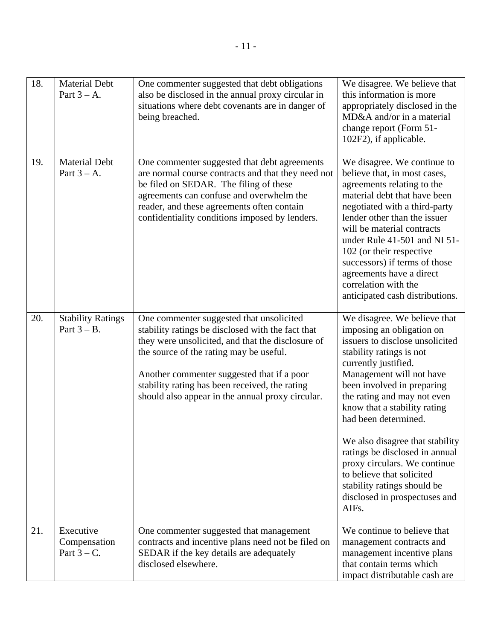| 18. | <b>Material Debt</b><br>Part $3 - A$ .      | One commenter suggested that debt obligations<br>also be disclosed in the annual proxy circular in<br>situations where debt covenants are in danger of<br>being breached.                                                                                                                                                                         | We disagree. We believe that<br>this information is more<br>appropriately disclosed in the<br>MD&A and/or in a material<br>change report (Form 51-<br>102F2), if applicable.                                                                                                                                                                                                                                                                                                                                 |
|-----|---------------------------------------------|---------------------------------------------------------------------------------------------------------------------------------------------------------------------------------------------------------------------------------------------------------------------------------------------------------------------------------------------------|--------------------------------------------------------------------------------------------------------------------------------------------------------------------------------------------------------------------------------------------------------------------------------------------------------------------------------------------------------------------------------------------------------------------------------------------------------------------------------------------------------------|
| 19. | <b>Material Debt</b><br>Part $3 - A$ .      | One commenter suggested that debt agreements<br>are normal course contracts and that they need not<br>be filed on SEDAR. The filing of these<br>agreements can confuse and overwhelm the<br>reader, and these agreements often contain<br>confidentiality conditions imposed by lenders.                                                          | We disagree. We continue to<br>believe that, in most cases,<br>agreements relating to the<br>material debt that have been<br>negotiated with a third-party<br>lender other than the issuer<br>will be material contracts<br>under Rule 41-501 and NI 51-<br>102 (or their respective<br>successors) if terms of those<br>agreements have a direct<br>correlation with the<br>anticipated cash distributions.                                                                                                 |
| 20. | <b>Stability Ratings</b><br>Part $3 - B$ .  | One commenter suggested that unsolicited<br>stability ratings be disclosed with the fact that<br>they were unsolicited, and that the disclosure of<br>the source of the rating may be useful.<br>Another commenter suggested that if a poor<br>stability rating has been received, the rating<br>should also appear in the annual proxy circular. | We disagree. We believe that<br>imposing an obligation on<br>issuers to disclose unsolicited<br>stability ratings is not<br>currently justified.<br>Management will not have<br>been involved in preparing<br>the rating and may not even<br>know that a stability rating<br>had been determined.<br>We also disagree that stability<br>ratings be disclosed in annual<br>proxy circulars. We continue<br>to believe that solicited<br>stability ratings should be<br>disclosed in prospectuses and<br>AIFs. |
| 21. | Executive<br>Compensation<br>Part $3 - C$ . | One commenter suggested that management<br>contracts and incentive plans need not be filed on<br>SEDAR if the key details are adequately<br>disclosed elsewhere.                                                                                                                                                                                  | We continue to believe that<br>management contracts and<br>management incentive plans<br>that contain terms which<br>impact distributable cash are                                                                                                                                                                                                                                                                                                                                                           |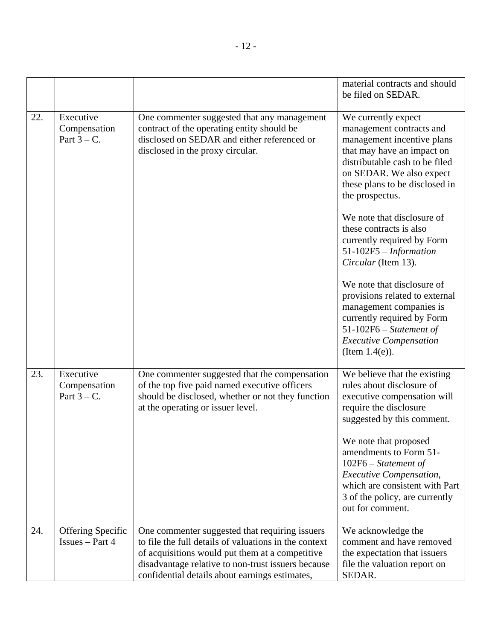|     |                                             |                                                                                                                                                                                                                                                                    | material contracts and should<br>be filed on SEDAR.                                                                                                                                                                                                                                                                                                                                                                                                                                                                                                                                  |
|-----|---------------------------------------------|--------------------------------------------------------------------------------------------------------------------------------------------------------------------------------------------------------------------------------------------------------------------|--------------------------------------------------------------------------------------------------------------------------------------------------------------------------------------------------------------------------------------------------------------------------------------------------------------------------------------------------------------------------------------------------------------------------------------------------------------------------------------------------------------------------------------------------------------------------------------|
| 22. | Executive<br>Compensation<br>Part $3 - C$ . | One commenter suggested that any management<br>contract of the operating entity should be<br>disclosed on SEDAR and either referenced or<br>disclosed in the proxy circular.                                                                                       | We currently expect<br>management contracts and<br>management incentive plans<br>that may have an impact on<br>distributable cash to be filed<br>on SEDAR. We also expect<br>these plans to be disclosed in<br>the prospectus.<br>We note that disclosure of<br>these contracts is also<br>currently required by Form<br>$51-102F5 - Information$<br>Circular (Item 13).<br>We note that disclosure of<br>provisions related to external<br>management companies is<br>currently required by Form<br>$51-102F6 - Statement of$<br><b>Executive Compensation</b><br>(Item $1.4(e)$ ). |
| 23. | Executive<br>Compensation<br>Part $3 - C$ . | One commenter suggested that the compensation<br>of the top five paid named executive officers<br>should be disclosed, whether or not they function<br>at the operating or issuer level.                                                                           | We believe that the existing<br>rules about disclosure of<br>executive compensation will<br>require the disclosure<br>suggested by this comment.<br>We note that proposed<br>amendments to Form 51-<br>$102F6 - Statement of$<br><b>Executive Compensation,</b><br>which are consistent with Part<br>3 of the policy, are currently<br>out for comment.                                                                                                                                                                                                                              |
| 24. | Offering Specific<br>$Issues - Part 4$      | One commenter suggested that requiring issuers<br>to file the full details of valuations in the context<br>of acquisitions would put them at a competitive<br>disadvantage relative to non-trust issuers because<br>confidential details about earnings estimates, | We acknowledge the<br>comment and have removed<br>the expectation that issuers<br>file the valuation report on<br>SEDAR.                                                                                                                                                                                                                                                                                                                                                                                                                                                             |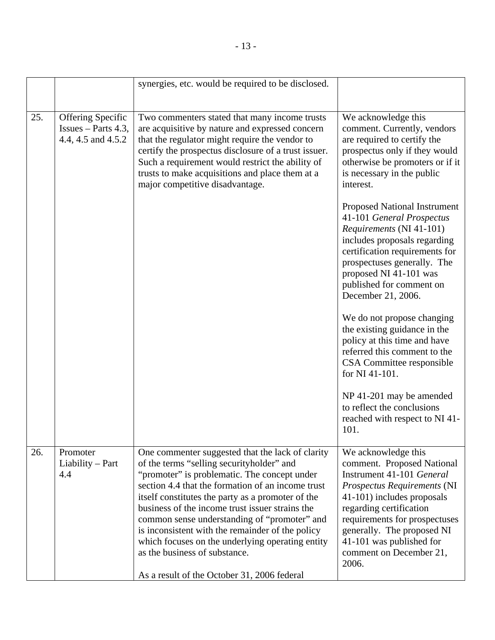|     |                                                                         | synergies, etc. would be required to be disclosed.                                                                                                                                                                                                                                                                                                                                                                                                                                                                                                 |                                                                                                                                                                                                                                                                                                       |
|-----|-------------------------------------------------------------------------|----------------------------------------------------------------------------------------------------------------------------------------------------------------------------------------------------------------------------------------------------------------------------------------------------------------------------------------------------------------------------------------------------------------------------------------------------------------------------------------------------------------------------------------------------|-------------------------------------------------------------------------------------------------------------------------------------------------------------------------------------------------------------------------------------------------------------------------------------------------------|
|     |                                                                         |                                                                                                                                                                                                                                                                                                                                                                                                                                                                                                                                                    |                                                                                                                                                                                                                                                                                                       |
| 25. | <b>Offering Specific</b><br>$Issues - Parts 4.3,$<br>4.4, 4.5 and 4.5.2 | Two commenters stated that many income trusts<br>are acquisitive by nature and expressed concern<br>that the regulator might require the vendor to<br>certify the prospectus disclosure of a trust issuer.<br>Such a requirement would restrict the ability of<br>trusts to make acquisitions and place them at a<br>major competitive disadvantage.                                                                                                                                                                                               | We acknowledge this<br>comment. Currently, vendors<br>are required to certify the<br>prospectus only if they would<br>otherwise be promoters or if it<br>is necessary in the public<br>interest.                                                                                                      |
|     |                                                                         |                                                                                                                                                                                                                                                                                                                                                                                                                                                                                                                                                    | <b>Proposed National Instrument</b><br>41-101 General Prospectus<br>Requirements (NI 41-101)<br>includes proposals regarding<br>certification requirements for<br>prospectuses generally. The<br>proposed NI 41-101 was<br>published for comment on<br>December 21, 2006.                             |
|     |                                                                         |                                                                                                                                                                                                                                                                                                                                                                                                                                                                                                                                                    | We do not propose changing<br>the existing guidance in the<br>policy at this time and have<br>referred this comment to the<br>CSA Committee responsible<br>for NI 41-101.                                                                                                                             |
|     |                                                                         |                                                                                                                                                                                                                                                                                                                                                                                                                                                                                                                                                    | NP 41-201 may be amended<br>to reflect the conclusions<br>reached with respect to NI 41-<br>101.                                                                                                                                                                                                      |
| 26. | Promoter<br>$Liability - Part$<br>4.4                                   | One commenter suggested that the lack of clarity<br>of the terms "selling securityholder" and<br>"promoter" is problematic. The concept under<br>section 4.4 that the formation of an income trust<br>itself constitutes the party as a promoter of the<br>business of the income trust issuer strains the<br>common sense understanding of "promoter" and<br>is inconsistent with the remainder of the policy<br>which focuses on the underlying operating entity<br>as the business of substance.<br>As a result of the October 31, 2006 federal | We acknowledge this<br>comment. Proposed National<br>Instrument 41-101 General<br>Prospectus Requirements (NI<br>41-101) includes proposals<br>regarding certification<br>requirements for prospectuses<br>generally. The proposed NI<br>41-101 was published for<br>comment on December 21,<br>2006. |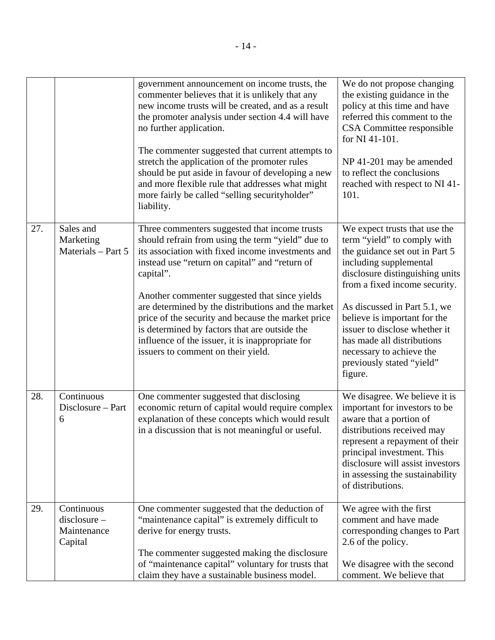|     |                                                        | government announcement on income trusts, the<br>commenter believes that it is unlikely that any<br>new income trusts will be created, and as a result<br>the promoter analysis under section 4.4 will have<br>no further application.<br>The commenter suggested that current attempts to<br>stretch the application of the promoter rules<br>should be put aside in favour of developing a new<br>and more flexible rule that addresses what might<br>more fairly be called "selling securityholder"<br>liability.           | We do not propose changing<br>the existing guidance in the<br>policy at this time and have<br>referred this comment to the<br>CSA Committee responsible<br>for NI 41-101.<br>NP 41-201 may be amended<br>to reflect the conclusions<br>reached with respect to NI 41-<br>101.                                                                                                                   |
|-----|--------------------------------------------------------|--------------------------------------------------------------------------------------------------------------------------------------------------------------------------------------------------------------------------------------------------------------------------------------------------------------------------------------------------------------------------------------------------------------------------------------------------------------------------------------------------------------------------------|-------------------------------------------------------------------------------------------------------------------------------------------------------------------------------------------------------------------------------------------------------------------------------------------------------------------------------------------------------------------------------------------------|
| 27. | Sales and<br>Marketing<br>Materials - Part 5           | Three commenters suggested that income trusts<br>should refrain from using the term "yield" due to<br>its association with fixed income investments and<br>instead use "return on capital" and "return of<br>capital".<br>Another commenter suggested that since yields<br>are determined by the distributions and the market<br>price of the security and because the market price<br>is determined by factors that are outside the<br>influence of the issuer, it is inappropriate for<br>issuers to comment on their yield. | We expect trusts that use the<br>term "yield" to comply with<br>the guidance set out in Part 5<br>including supplemental<br>disclosure distinguishing units<br>from a fixed income security.<br>As discussed in Part 5.1, we<br>believe is important for the<br>issuer to disclose whether it<br>has made all distributions<br>necessary to achieve the<br>previously stated "yield"<br>figure. |
| 28. | Continuous<br>Disclosure – Part<br>6                   | One commenter suggested that disclosing<br>economic return of capital would require complex<br>explanation of these concepts which would result<br>in a discussion that is not meaningful or useful.                                                                                                                                                                                                                                                                                                                           | We disagree. We believe it is<br>important for investors to be<br>aware that a portion of<br>distributions received may<br>represent a repayment of their<br>principal investment. This<br>disclosure will assist investors<br>in assessing the sustainability<br>of distributions.                                                                                                             |
| 29. | Continuous<br>$disclosure -$<br>Maintenance<br>Capital | One commenter suggested that the deduction of<br>"maintenance capital" is extremely difficult to<br>derive for energy trusts.<br>The commenter suggested making the disclosure<br>of "maintenance capital" voluntary for trusts that<br>claim they have a sustainable business model.                                                                                                                                                                                                                                          | We agree with the first<br>comment and have made<br>corresponding changes to Part<br>2.6 of the policy.<br>We disagree with the second<br>comment. We believe that                                                                                                                                                                                                                              |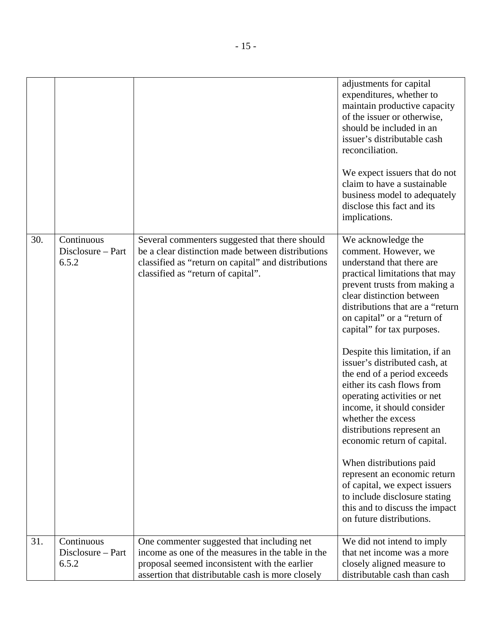|     |                                          |                                                                                                                                                                                                  | adjustments for capital<br>expenditures, whether to<br>maintain productive capacity<br>of the issuer or otherwise,<br>should be included in an<br>issuer's distributable cash<br>reconciliation.<br>We expect issuers that do not<br>claim to have a sustainable<br>business model to adequately                                                                                                                                                                                                                                                                                                                                                                                                                                                   |
|-----|------------------------------------------|--------------------------------------------------------------------------------------------------------------------------------------------------------------------------------------------------|----------------------------------------------------------------------------------------------------------------------------------------------------------------------------------------------------------------------------------------------------------------------------------------------------------------------------------------------------------------------------------------------------------------------------------------------------------------------------------------------------------------------------------------------------------------------------------------------------------------------------------------------------------------------------------------------------------------------------------------------------|
|     |                                          |                                                                                                                                                                                                  | disclose this fact and its<br>implications.                                                                                                                                                                                                                                                                                                                                                                                                                                                                                                                                                                                                                                                                                                        |
| 30. | Continuous<br>Disclosure – Part<br>6.5.2 | Several commenters suggested that there should<br>be a clear distinction made between distributions<br>classified as "return on capital" and distributions<br>classified as "return of capital". | We acknowledge the<br>comment. However, we<br>understand that there are<br>practical limitations that may<br>prevent trusts from making a<br>clear distinction between<br>distributions that are a "return<br>on capital" or a "return of<br>capital" for tax purposes.<br>Despite this limitation, if an<br>issuer's distributed cash, at<br>the end of a period exceeds<br>either its cash flows from<br>operating activities or net<br>income, it should consider<br>whether the excess<br>distributions represent an<br>economic return of capital.<br>When distributions paid<br>represent an economic return<br>of capital, we expect issuers<br>to include disclosure stating<br>this and to discuss the impact<br>on future distributions. |
| 31. | Continuous<br>Disclosure – Part          | One commenter suggested that including net<br>income as one of the measures in the table in the                                                                                                  | We did not intend to imply<br>that net income was a more                                                                                                                                                                                                                                                                                                                                                                                                                                                                                                                                                                                                                                                                                           |
|     | 6.5.2                                    | proposal seemed inconsistent with the earlier<br>assertion that distributable cash is more closely                                                                                               | closely aligned measure to<br>distributable cash than cash                                                                                                                                                                                                                                                                                                                                                                                                                                                                                                                                                                                                                                                                                         |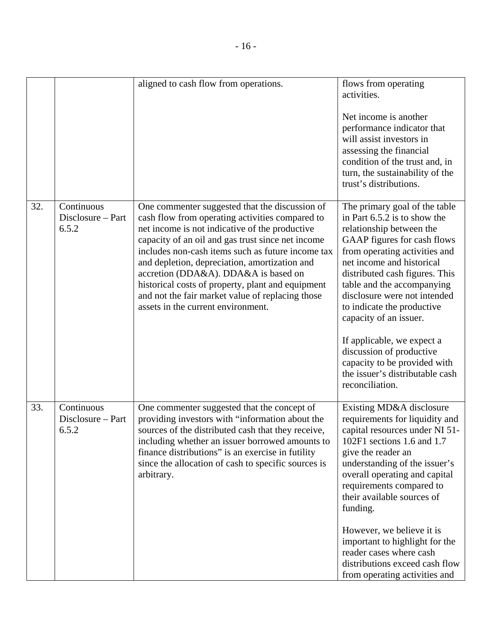|     |                                          | aligned to cash flow from operations.                                                                                                                                                                                                                                                                                                                                                                                                                                                                 | flows from operating<br>activities.<br>Net income is another<br>performance indicator that<br>will assist investors in<br>assessing the financial<br>condition of the trust and, in<br>turn, the sustainability of the<br>trust's distributions.                                                                                                                                                                                                                                               |
|-----|------------------------------------------|-------------------------------------------------------------------------------------------------------------------------------------------------------------------------------------------------------------------------------------------------------------------------------------------------------------------------------------------------------------------------------------------------------------------------------------------------------------------------------------------------------|------------------------------------------------------------------------------------------------------------------------------------------------------------------------------------------------------------------------------------------------------------------------------------------------------------------------------------------------------------------------------------------------------------------------------------------------------------------------------------------------|
| 32. | Continuous<br>Disclosure - Part<br>6.5.2 | One commenter suggested that the discussion of<br>cash flow from operating activities compared to<br>net income is not indicative of the productive<br>capacity of an oil and gas trust since net income<br>includes non-cash items such as future income tax<br>and depletion, depreciation, amortization and<br>accretion (DDA&A). DDA&A is based on<br>historical costs of property, plant and equipment<br>and not the fair market value of replacing those<br>assets in the current environment. | The primary goal of the table<br>in Part 6.5.2 is to show the<br>relationship between the<br>GAAP figures for cash flows<br>from operating activities and<br>net income and historical<br>distributed cash figures. This<br>table and the accompanying<br>disclosure were not intended<br>to indicate the productive<br>capacity of an issuer.<br>If applicable, we expect a<br>discussion of productive<br>capacity to be provided with<br>the issuer's distributable cash<br>reconciliation. |
| 33. | Continuous<br>Disclosure - Part<br>6.5.2 | One commenter suggested that the concept of<br>providing investors with "information about the<br>sources of the distributed cash that they receive,<br>including whether an issuer borrowed amounts to<br>finance distributions" is an exercise in futility<br>since the allocation of cash to specific sources is<br>arbitrary.                                                                                                                                                                     | Existing MD&A disclosure<br>requirements for liquidity and<br>capital resources under NI 51-<br>102F1 sections 1.6 and 1.7<br>give the reader an<br>understanding of the issuer's<br>overall operating and capital<br>requirements compared to<br>their available sources of<br>funding.<br>However, we believe it is<br>important to highlight for the<br>reader cases where cash<br>distributions exceed cash flow<br>from operating activities and                                          |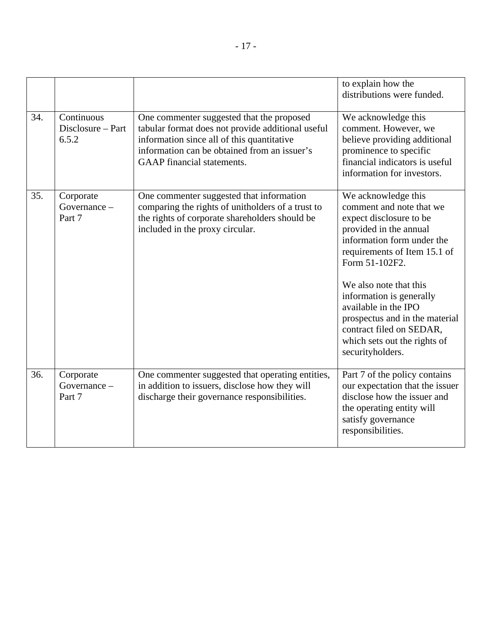|     |                                          |                                                                                                                                                                                                                                   | to explain how the<br>distributions were funded.                                                                                                                                                                                                                                                                                                                                     |
|-----|------------------------------------------|-----------------------------------------------------------------------------------------------------------------------------------------------------------------------------------------------------------------------------------|--------------------------------------------------------------------------------------------------------------------------------------------------------------------------------------------------------------------------------------------------------------------------------------------------------------------------------------------------------------------------------------|
| 34. | Continuous<br>Disclosure – Part<br>6.5.2 | One commenter suggested that the proposed<br>tabular format does not provide additional useful<br>information since all of this quantitative<br>information can be obtained from an issuer's<br><b>GAAP</b> financial statements. | We acknowledge this<br>comment. However, we<br>believe providing additional<br>prominence to specific<br>financial indicators is useful<br>information for investors.                                                                                                                                                                                                                |
| 35. | Corporate<br>Governance -<br>Part 7      | One commenter suggested that information<br>comparing the rights of unitholders of a trust to<br>the rights of corporate shareholders should be<br>included in the proxy circular.                                                | We acknowledge this<br>comment and note that we<br>expect disclosure to be<br>provided in the annual<br>information form under the<br>requirements of Item 15.1 of<br>Form 51-102F2.<br>We also note that this<br>information is generally<br>available in the IPO<br>prospectus and in the material<br>contract filed on SEDAR,<br>which sets out the rights of<br>securityholders. |
| 36. | Corporate<br>Governance -<br>Part 7      | One commenter suggested that operating entities,<br>in addition to issuers, disclose how they will<br>discharge their governance responsibilities.                                                                                | Part 7 of the policy contains<br>our expectation that the issuer<br>disclose how the issuer and<br>the operating entity will<br>satisfy governance<br>responsibilities.                                                                                                                                                                                                              |